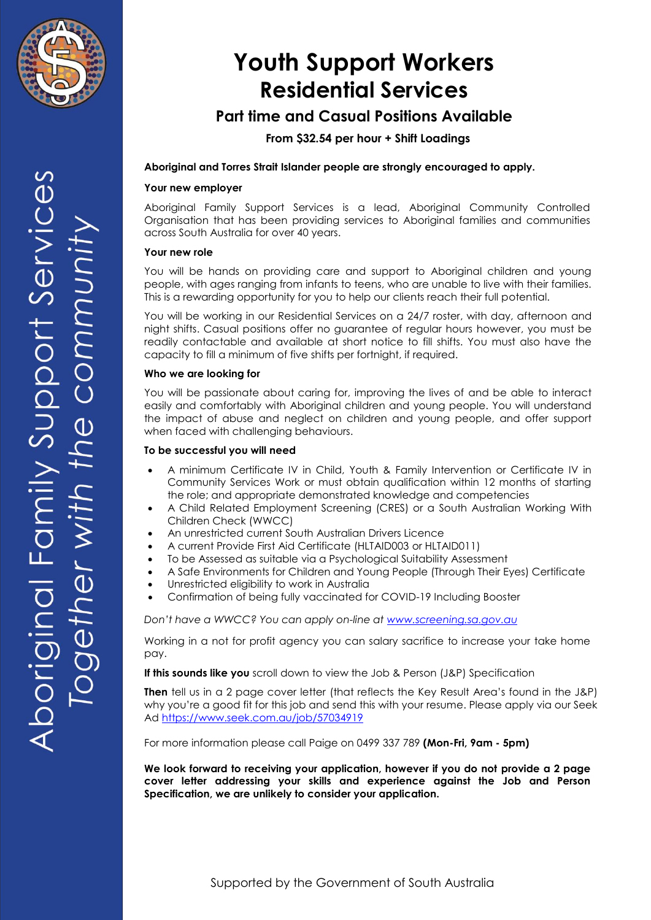

# **Youth Support Workers Residential Services**

## **Part time and Casual Positions Available**

### **From \$32.54 per hour + Shift Loadings**

#### **Aboriginal and Torres Strait Islander people are strongly encouraged to apply.**

#### **Your new employer**

Aboriginal Family Support Services is a lead, Aboriginal Community Controlled Organisation that has been providing services to Aboriginal families and communities across South Australia for over 40 years.

#### **Your new role**

You will be hands on providing care and support to Aboriginal children and young people, with ages ranging from infants to teens, who are unable to live with their families. This is a rewarding opportunity for you to help our clients reach their full potential.

You will be working in our Residential Services on a 24/7 roster, with day, afternoon and night shifts. Casual positions offer no guarantee of regular hours however, you must be readily contactable and available at short notice to fill shifts. You must also have the capacity to fill a minimum of five shifts per fortnight, if required.

#### **Who we are looking for**

You will be passionate about caring for, improving the lives of and be able to interact easily and comfortably with Aboriginal children and young people. You will understand the impact of abuse and neglect on children and young people, and offer support when faced with challenging behaviours.

#### **To be successful you will need**

- A minimum Certificate IV in Child, Youth & Family Intervention or Certificate IV in Community Services Work or must obtain qualification within 12 months of starting the role; and appropriate demonstrated knowledge and competencies
- A Child Related Employment Screening (CRES) or a South Australian Working With Children Check (WWCC)
- An unrestricted current South Australian Drivers Licence
- A current Provide First Aid Certificate (HLTAID003 or HLTAID011)
- To be Assessed as suitable via a Psychological Suitability Assessment
- A Safe Environments for Children and Young People (Through Their Eyes) Certificate
- Unrestricted eligibility to work in Australia
- Confirmation of being fully vaccinated for COVID-19 Including Booster

*Don't have a WWCC? You can apply on-line at [www.screening.sa.gov.au](http://www.screening.sa.gov.au/)*

Working in a not for profit agency you can salary sacrifice to increase your take home pay.

**If this sounds like you** scroll down to view the Job & Person (J&P) Specification

**Then** tell us in a 2 page cover letter (that reflects the Key Result Area's found in the J&P) why you're a good fit for this job and send this with your resume. Please apply via our Seek Ad<https://www.seek.com.au/job/57034919>

For more information please call Paige on 0499 337 789 **(Mon-Fri, 9am - 5pm)**

**We look forward to receiving your application, however if you do not provide a 2 page cover letter addressing your skills and experience against the Job and Person Specification, we are unlikely to consider your application.**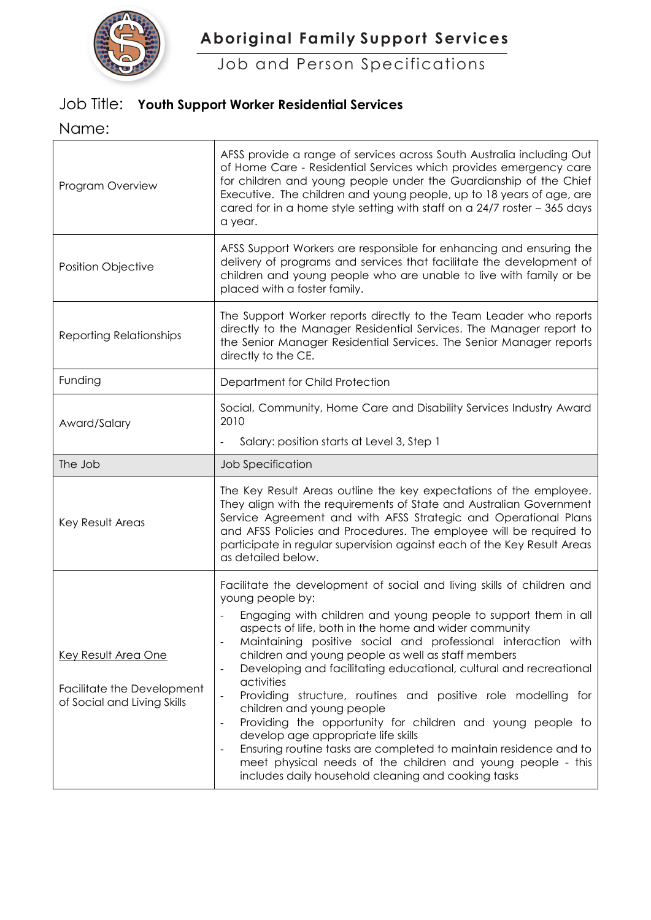

**Aboriginal Family Support Services**

Job and Person Specifications

# Job Title: **Youth Support Worker Residential Services**

Name:

| Program Overview                                                                 | AFSS provide a range of services across South Australia including Out<br>of Home Care - Residential Services which provides emergency care<br>for children and young people under the Guardianship of the Chief<br>Executive. The children and young people, up to 18 years of age, are<br>cared for in a home style setting with staff on a 24/7 roster - 365 days<br>a year.                                                                                                                                                                                                                                                                                                                                                   |  |
|----------------------------------------------------------------------------------|----------------------------------------------------------------------------------------------------------------------------------------------------------------------------------------------------------------------------------------------------------------------------------------------------------------------------------------------------------------------------------------------------------------------------------------------------------------------------------------------------------------------------------------------------------------------------------------------------------------------------------------------------------------------------------------------------------------------------------|--|
| <b>Position Objective</b>                                                        | AFSS Support Workers are responsible for enhancing and ensuring the<br>delivery of programs and services that facilitate the development of<br>children and young people who are unable to live with family or be<br>placed with a foster family.                                                                                                                                                                                                                                                                                                                                                                                                                                                                                |  |
| <b>Reporting Relationships</b>                                                   | The Support Worker reports directly to the Team Leader who reports<br>directly to the Manager Residential Services. The Manager report to<br>the Senior Manager Residential Services. The Senior Manager reports<br>directly to the CE.                                                                                                                                                                                                                                                                                                                                                                                                                                                                                          |  |
| Funding                                                                          | Department for Child Protection                                                                                                                                                                                                                                                                                                                                                                                                                                                                                                                                                                                                                                                                                                  |  |
| Award/Salary                                                                     | Social, Community, Home Care and Disability Services Industry Award<br>2010                                                                                                                                                                                                                                                                                                                                                                                                                                                                                                                                                                                                                                                      |  |
|                                                                                  | Salary: position starts at Level 3, Step 1                                                                                                                                                                                                                                                                                                                                                                                                                                                                                                                                                                                                                                                                                       |  |
| The Job                                                                          | Job Specification                                                                                                                                                                                                                                                                                                                                                                                                                                                                                                                                                                                                                                                                                                                |  |
| Key Result Areas                                                                 | The Key Result Areas outline the key expectations of the employee.<br>They align with the requirements of State and Australian Government<br>Service Agreement and with AFSS Strategic and Operational Plans<br>and AFSS Policies and Procedures. The employee will be required to<br>participate in regular supervision against each of the Key Result Areas<br>as detailed below.                                                                                                                                                                                                                                                                                                                                              |  |
|                                                                                  | Facilitate the development of social and living skills of children and<br>young people by:                                                                                                                                                                                                                                                                                                                                                                                                                                                                                                                                                                                                                                       |  |
| Key Result Area One<br>Facilitate the Development<br>of Social and Living Skills | Engaging with children and young people to support them in all<br>aspects of life, both in the home and wider community<br>Maintaining positive social and professional interaction with<br>children and young people as well as staff members<br>Developing and facilitating educational, cultural and recreational<br>activities<br>Providing structure, routines and positive role modelling for<br>children and young people<br>Providing the opportunity for children and young people to<br>develop age appropriate life skills<br>Ensuring routine tasks are completed to maintain residence and to<br>meet physical needs of the children and young people - this<br>includes daily household cleaning and cooking tasks |  |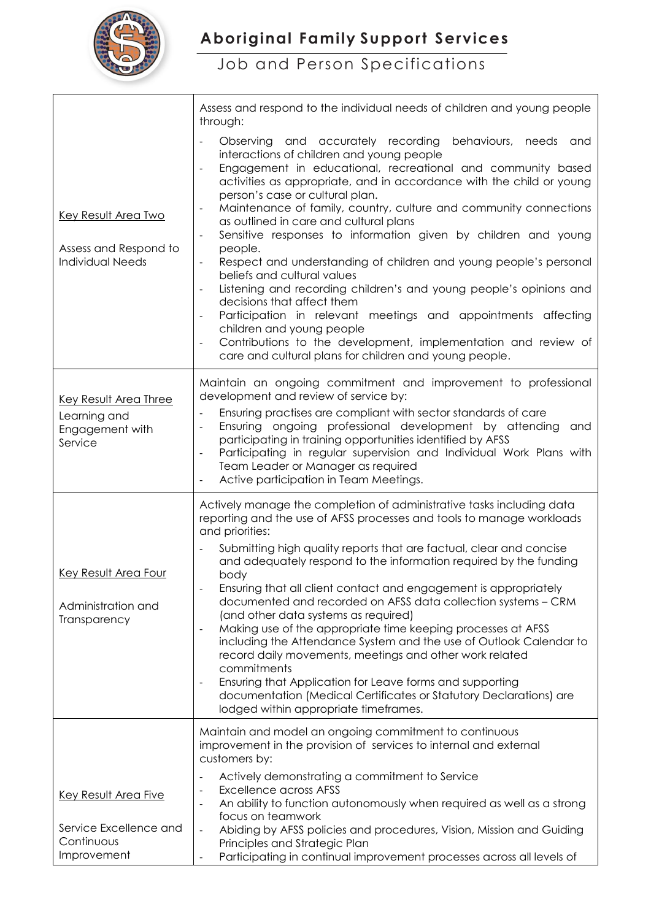

┓

 $\overline{\phantom{a}}$ 

Job and Person Specifications

|                                                                                | Assess and respond to the individual needs of children and young people<br>through:                                                                                                                                                                                                                                                                                                                                                                                                                                                                                                                                                                                                                                                                                                                                                                                                                                                                                                                                           |  |  |
|--------------------------------------------------------------------------------|-------------------------------------------------------------------------------------------------------------------------------------------------------------------------------------------------------------------------------------------------------------------------------------------------------------------------------------------------------------------------------------------------------------------------------------------------------------------------------------------------------------------------------------------------------------------------------------------------------------------------------------------------------------------------------------------------------------------------------------------------------------------------------------------------------------------------------------------------------------------------------------------------------------------------------------------------------------------------------------------------------------------------------|--|--|
| <b>Key Result Area Two</b><br>Assess and Respond to<br><b>Individual Needs</b> | behaviours, needs<br>Observing and accurately recording<br>and<br>interactions of children and young people<br>Engagement in educational, recreational and community based<br>$\overline{\phantom{a}}$<br>activities as appropriate, and in accordance with the child or young<br>person's case or cultural plan.<br>Maintenance of family, country, culture and community connections<br>$\qquad \qquad \blacksquare$<br>as outlined in care and cultural plans<br>Sensitive responses to information given by children and young<br>$\blacksquare$<br>people.<br>Respect and understanding of children and young people's personal<br>beliefs and cultural values<br>Listening and recording children's and young people's opinions and<br>decisions that affect them<br>Participation in relevant meetings and appointments affecting<br>children and young people<br>Contributions to the development, implementation and review of<br>$\overline{\phantom{0}}$<br>care and cultural plans for children and young people. |  |  |
| Key Result Area Three<br>Learning and<br>Engagement with<br>Service            | Maintain an ongoing commitment and improvement to professional<br>development and review of service by:<br>Ensuring practises are compliant with sector standards of care<br>Ensuring ongoing professional development by attending<br>and<br>participating in training opportunities identified by AFSS<br>Participating in regular supervision and Individual Work Plans with<br>Team Leader or Manager as required<br>Active participation in Team Meetings.                                                                                                                                                                                                                                                                                                                                                                                                                                                                                                                                                               |  |  |
| Key Result Area Four<br>Administration and<br>Transparency                     | Actively manage the completion of administrative tasks including data<br>reporting and the use of AFSS processes and tools to manage workloads<br>and priorities:<br>Submitting high quality reports that are factual, clear and concise<br>$\overline{\phantom{a}}$<br>and adequately respond to the information required by the funding<br>body<br>Ensuring that all client contact and engagement is appropriately<br>documented and recorded on AFSS data collection systems - CRM<br>(and other data systems as required)<br>Making use of the appropriate time keeping processes at AFSS<br>$\overline{a}$<br>including the Attendance System and the use of Outlook Calendar to<br>record daily movements, meetings and other work related<br>commitments<br>Ensuring that Application for Leave forms and supporting<br>$\overline{\phantom{0}}$<br>documentation (Medical Certificates or Statutory Declarations) are<br>lodged within appropriate timeframes.                                                       |  |  |
|                                                                                | Maintain and model an ongoing commitment to continuous<br>improvement in the provision of services to internal and external<br>customers by:<br>Actively demonstrating a commitment to Service<br>$\qquad \qquad \blacksquare$                                                                                                                                                                                                                                                                                                                                                                                                                                                                                                                                                                                                                                                                                                                                                                                                |  |  |
| Key Result Area Five                                                           | <b>Excellence across AFSS</b><br>An ability to function autonomously when required as well as a strong<br>$\qquad \qquad \blacksquare$<br>focus on teamwork                                                                                                                                                                                                                                                                                                                                                                                                                                                                                                                                                                                                                                                                                                                                                                                                                                                                   |  |  |
| Service Excellence and<br>Continuous<br>Improvement                            | Abiding by AFSS policies and procedures, Vision, Mission and Guiding<br>$\blacksquare$<br>Principles and Strategic Plan<br>Participating in continual improvement processes across all levels of<br>$\blacksquare$                                                                                                                                                                                                                                                                                                                                                                                                                                                                                                                                                                                                                                                                                                                                                                                                            |  |  |